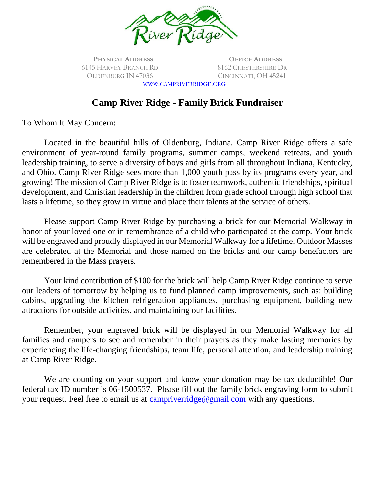

**PHYSICAL ADDRESS** 6145 HARVEY BRANCH RD OLDENBURG IN 47036

**OFFICE ADDRESS** 8162 CHESTERSHIRE DR CINCINNATI, OH 45241

WWW.[CAMPRIVERRIDGE](http://www.campriverridge.org/).ORG

## **Camp River Ridge - Family Brick Fundraiser**

To Whom It May Concern:

Located in the beautiful hills of Oldenburg, Indiana, Camp River Ridge offers a safe environment of year-round family programs, summer camps, weekend retreats, and youth leadership training, to serve a diversity of boys and girls from all throughout Indiana, Kentucky, and Ohio. Camp River Ridge sees more than 1,000 youth pass by its programs every year, and growing! The mission of Camp River Ridge is to foster teamwork, authentic friendships, spiritual development, and Christian leadership in the children from grade school through high school that lasts a lifetime, so they grow in virtue and place their talents at the service of others.

Please support Camp River Ridge by purchasing a brick for our Memorial Walkway in honor of your loved one or in remembrance of a child who participated at the camp. Your brick will be engraved and proudly displayed in our Memorial Walkway for a lifetime. Outdoor Masses are celebrated at the Memorial and those named on the bricks and our camp benefactors are remembered in the Mass prayers.

Your kind contribution of \$100 for the brick will help Camp River Ridge continue to serve our leaders of tomorrow by helping us to fund planned camp improvements, such as: building cabins, upgrading the kitchen refrigeration appliances, purchasing equipment, building new attractions for outside activities, and maintaining our facilities.

Remember, your engraved brick will be displayed in our Memorial Walkway for all families and campers to see and remember in their prayers as they make lasting memories by experiencing the life-changing friendships, team life, personal attention, and leadership training at Camp River Ridge.

We are counting on your support and know your donation may be tax deductible! Our federal tax ID number is 06-1500537. Please fill out the family brick engraving form to submit your request. Feel free to email us at [campriverridge@gmail.com](mailto:campriverridge@gmail.com) with any questions.